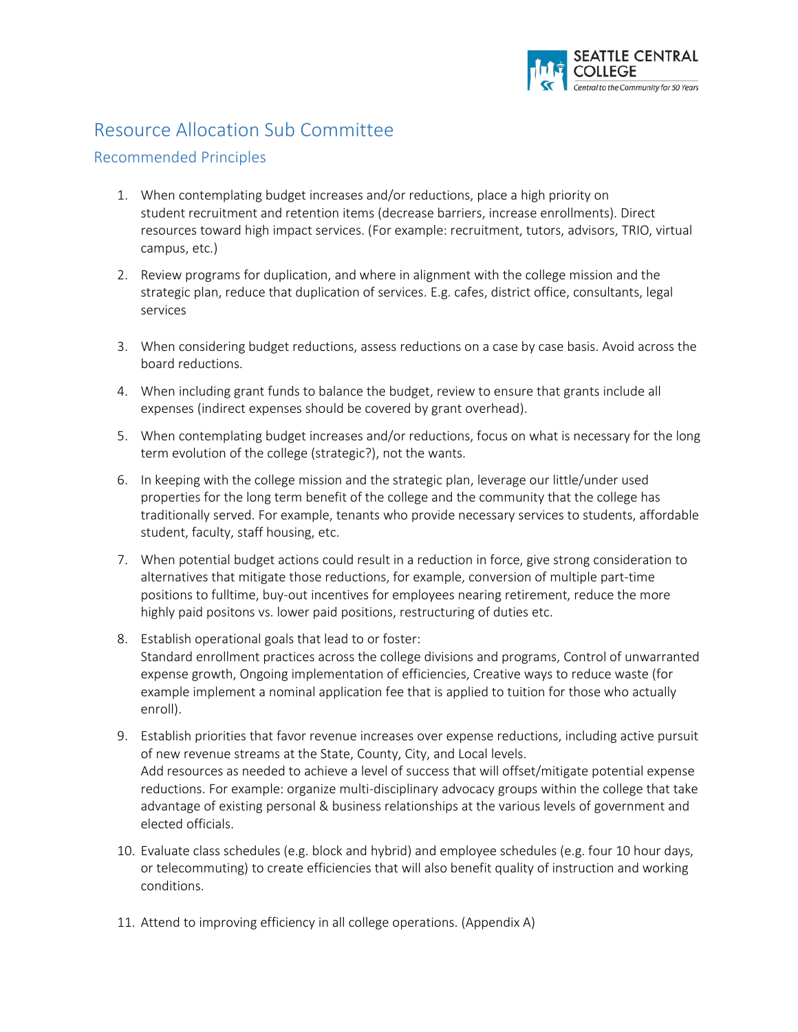

## Resource Allocation Sub Committee

## Recommended Principles

- 1. When contemplating budget increases and/or reductions, place a high priority on student recruitment and retention items (decrease barriers, increase enrollments). Direct resources toward high impact services. (For example: recruitment, tutors, advisors, TRIO, virtual campus, etc.)
- 2. Review programs for duplication, and where in alignment with the college mission and the strategic plan, reduce that duplication of services. E.g. cafes, district office, consultants, legal services
- 3. When considering budget reductions, assess reductions on a case by case basis. Avoid across the board reductions.
- 4. When including grant funds to balance the budget, review to ensure that grants include all expenses (indirect expenses should be covered by grant overhead).
- 5. When contemplating budget increases and/or reductions, focus on what is necessary for the long term evolution of the college (strategic?), not the wants.
- 6. In keeping with the college mission and the strategic plan, leverage our little/under used properties for the long term benefit of the college and the community that the college has traditionally served. For example, tenants who provide necessary services to students, affordable student, faculty, staff housing, etc.
- 7. When potential budget actions could result in a reduction in force, give strong consideration to alternatives that mitigate those reductions, for example, conversion of multiple part-time positions to fulltime, buy-out incentives for employees nearing retirement, reduce the more highly paid positons vs. lower paid positions, restructuring of duties etc.
- 8. Establish operational goals that lead to or foster: Standard enrollment practices across the college divisions and programs, Control of unwarranted expense growth, Ongoing implementation of efficiencies, Creative ways to reduce waste (for example implement a nominal application fee that is applied to tuition for those who actually enroll).
- 9. Establish priorities that favor revenue increases over expense reductions, including active pursuit of new revenue streams at the State, County, City, and Local levels. Add resources as needed to achieve a level of success that will offset/mitigate potential expense reductions. For example: organize multi-disciplinary advocacy groups within the college that take advantage of existing personal & business relationships at the various levels of government and elected officials.
- 10. Evaluate class schedules (e.g. block and hybrid) and employee schedules (e.g. four 10 hour days, or telecommuting) to create efficiencies that will also benefit quality of instruction and working conditions.
- 11. Attend to improving efficiency in all college operations. (Appendix A)